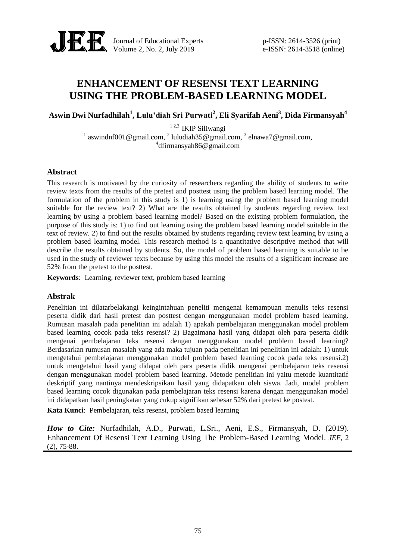

Journal of Educational Experts p-ISSN: 2614-3526 (print) Volume 2, No. 2, July 2019 e-ISSN: 2614-3518 (online)

# **ENHANCEMENT OF RESENSI TEXT LEARNING USING THE PROBLEM-BASED LEARNING MODEL**

**Aswin Dwi Nurfadhilah<sup>1</sup> , Lulu'diah Sri Purwati<sup>2</sup> , Eli Syarifah Aeni<sup>3</sup> , Dida Firmansyah<sup>4</sup>**

1,2,3 IKIP Siliwangi <sup>1</sup> [aswindnf001@gmail.com,](mailto:email-penulis-1@ymail.com) <sup>2</sup> [luludiah35@gmail.com,](mailto:email-penulis-2@ymail.com) <sup>3</sup> [elnawa7@gmail.com,](mailto:email-penulis-3@ymail.com) 4 dfirmansyah86@gmail.com

#### **Abstract**

This research is motivated by the curiosity of researchers regarding the ability of students to write review texts from the results of the pretest and posttest using the problem based learning model. The formulation of the problem in this study is 1) is learning using the problem based learning model suitable for the review text? 2) What are the results obtained by students regarding review text learning by using a problem based learning model? Based on the existing problem formulation, the purpose of this study is: 1) to find out learning using the problem based learning model suitable in the text of review. 2) to find out the results obtained by students regarding review text learning by using a problem based learning model. This research method is a quantitative descriptive method that will describe the results obtained by students. So, the model of problem based learning is suitable to be used in the study of reviewer texts because by using this model the results of a significant increase are 52% from the pretest to the posttest.

**Keywords**: Learning, reviewer text, problem based learning

#### **Abstrak**

Penelitian ini dilatarbelakangi keingintahuan peneliti mengenai kemampuan menulis teks resensi peserta didik dari hasil pretest dan posttest dengan menggunakan model problem based learning. Rumusan masalah pada penelitian ini adalah 1) apakah pembelajaran menggunakan model problem based learning cocok pada teks resensi? 2) Bagaimana hasil yang didapat oleh para peserta didik mengenai pembelajaran teks resensi dengan menggunakan model problem based learning? Berdasarkan rumusan masalah yang ada maka tujuan pada penelitian ini penelitian ini adalah: 1) untuk mengetahui pembelajaran menggunakan model problem based learning cocok pada teks resensi.2) untuk mengetahui hasil yang didapat oleh para peserta didik mengenai pembelajaran teks resensi dengan menggunakan model problem based learning. Metode penelitian ini yaitu metode kuantitatif deskriptif yang nantinya mendeskripsikan hasil yang didapatkan oleh siswa. Jadi, model problem based learning cocok digunakan pada pembelajaran teks resensi karena dengan menggunakan model ini didapatkan hasil peningkatan yang cukup signifikan sebesar 52% dari pretest ke postest.

**Kata Kunci**: Pembelajaran, teks resensi, problem based learning

*How to Cite:* Nurfadhilah, A.D., Purwati, L.Sri., Aeni, E.S., Firmansyah, D. (2019). Enhancement Of Resensi Text Learning Using The Problem-Based Learning Model. *JEE*, 2 (2), 75-88.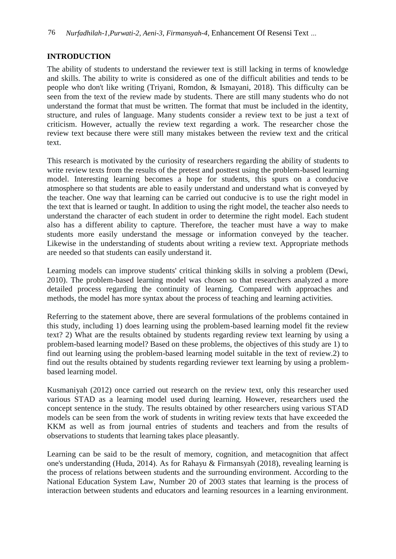## **INTRODUCTION**

The ability of students to understand the reviewer text is still lacking in terms of knowledge and skills. The ability to write is considered as one of the difficult abilities and tends to be people who don't like writing (Triyani, Romdon, & Ismayani, 2018). This difficulty can be seen from the text of the review made by students. There are still many students who do not understand the format that must be written. The format that must be included in the identity, structure, and rules of language. Many students consider a review text to be just a text of criticism. However, actually the review text regarding a work. The researcher chose the review text because there were still many mistakes between the review text and the critical text.

This research is motivated by the curiosity of researchers regarding the ability of students to write review texts from the results of the pretest and posttest using the problem-based learning model. Interesting learning becomes a hope for students, this spurs on a conducive atmosphere so that students are able to easily understand and understand what is conveyed by the teacher. One way that learning can be carried out conducive is to use the right model in the text that is learned or taught. In addition to using the right model, the teacher also needs to understand the character of each student in order to determine the right model. Each student also has a different ability to capture. Therefore, the teacher must have a way to make students more easily understand the message or information conveyed by the teacher. Likewise in the understanding of students about writing a review text. Appropriate methods are needed so that students can easily understand it.

Learning models can improve students' critical thinking skills in solving a problem (Dewi, 2010). The problem-based learning model was chosen so that researchers analyzed a more detailed process regarding the continuity of learning. Compared with approaches and methods, the model has more syntax about the process of teaching and learning activities.

Referring to the statement above, there are several formulations of the problems contained in this study, including 1) does learning using the problem-based learning model fit the review text? 2) What are the results obtained by students regarding review text learning by using a problem-based learning model? Based on these problems, the objectives of this study are 1) to find out learning using the problem-based learning model suitable in the text of review.2) to find out the results obtained by students regarding reviewer text learning by using a problembased learning model.

Kusmaniyah (2012) once carried out research on the review text, only this researcher used various STAD as a learning model used during learning. However, researchers used the concept sentence in the study. The results obtained by other researchers using various STAD models can be seen from the work of students in writing review texts that have exceeded the KKM as well as from journal entries of students and teachers and from the results of observations to students that learning takes place pleasantly.

Learning can be said to be the result of memory, cognition, and metacognition that affect one's understanding (Huda, 2014). As for Rahayu & Firmansyah (2018), revealing learning is the process of relations between students and the surrounding environment. According to the National Education System Law, Number 20 of 2003 states that learning is the process of interaction between students and educators and learning resources in a learning environment.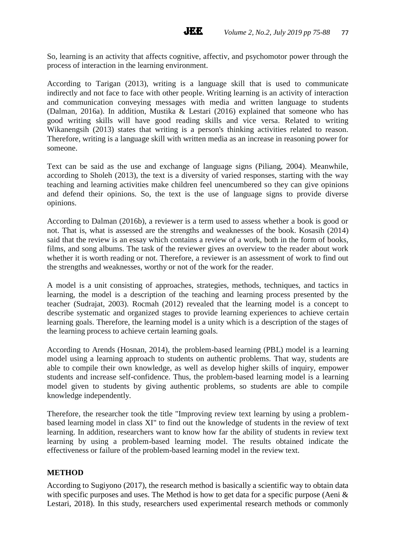So, learning is an activity that affects cognitive, affectiv, and psychomotor power through the process of interaction in the learning environment.

**JEE** 

According to Tarigan (2013), writing is a language skill that is used to communicate indirectly and not face to face with other people. Writing learning is an activity of interaction and communication conveying messages with media and written language to students (Dalman, 2016a). In addition, Mustika & Lestari (2016) explained that someone who has good writing skills will have good reading skills and vice versa. Related to writing Wikanengsih (2013) states that writing is a person's thinking activities related to reason. Therefore, writing is a language skill with written media as an increase in reasoning power for someone.

Text can be said as the use and exchange of language signs (Piliang, 2004). Meanwhile, according to Sholeh (2013), the text is a diversity of varied responses, starting with the way teaching and learning activities make children feel unencumbered so they can give opinions and defend their opinions. So, the text is the use of language signs to provide diverse opinions.

According to Dalman (2016b), a reviewer is a term used to assess whether a book is good or not. That is, what is assessed are the strengths and weaknesses of the book. Kosasih (2014) said that the review is an essay which contains a review of a work, both in the form of books, films, and song albums. The task of the reviewer gives an overview to the reader about work whether it is worth reading or not. Therefore, a reviewer is an assessment of work to find out the strengths and weaknesses, worthy or not of the work for the reader.

A model is a unit consisting of approaches, strategies, methods, techniques, and tactics in learning, the model is a description of the teaching and learning process presented by the teacher (Sudrajat, 2003). Rocmah (2012) revealed that the learning model is a concept to describe systematic and organized stages to provide learning experiences to achieve certain learning goals. Therefore, the learning model is a unity which is a description of the stages of the learning process to achieve certain learning goals.

According to Arends (Hosnan, 2014), the problem-based learning (PBL) model is a learning model using a learning approach to students on authentic problems. That way, students are able to compile their own knowledge, as well as develop higher skills of inquiry, empower students and increase self-confidence. Thus, the problem-based learning model is a learning model given to students by giving authentic problems, so students are able to compile knowledge independently.

Therefore, the researcher took the title "Improving review text learning by using a problembased learning model in class XI" to find out the knowledge of students in the review of text learning. In addition, researchers want to know how far the ability of students in review text learning by using a problem-based learning model. The results obtained indicate the effectiveness or failure of the problem-based learning model in the review text.

#### **METHOD**

According to Sugiyono (2017), the research method is basically a scientific way to obtain data with specific purposes and uses. The Method is how to get data for a specific purpose (Aeni  $\&$ Lestari, 2018). In this study, researchers used experimental research methods or commonly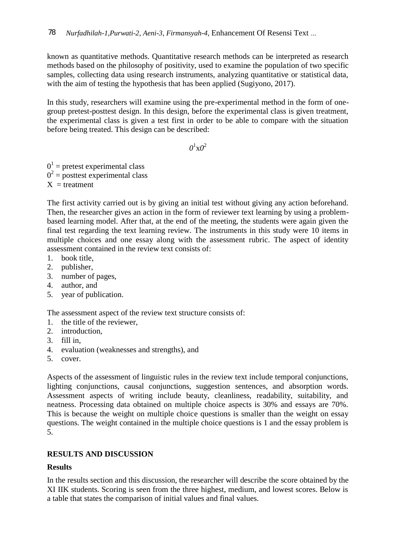known as quantitative methods. Quantitative research methods can be interpreted as research methods based on the philosophy of positivity, used to examine the population of two specific samples, collecting data using research instruments, analyzing quantitative or statistical data, with the aim of testing the hypothesis that has been applied (Sugiyono, 2017).

In this study, researchers will examine using the pre-experimental method in the form of onegroup pretest-posttest design. In this design, before the experimental class is given treatment, the experimental class is given a test first in order to be able to compare with the situation before being treated. This design can be described:

 $\theta^1$ x $\theta^2$ 

 $0<sup>1</sup>$  = pretest experimental class  $0^2$  = posttest experimental class  $X =$  treatment

The first activity carried out is by giving an initial test without giving any action beforehand. Then, the researcher gives an action in the form of reviewer text learning by using a problembased learning model. After that, at the end of the meeting, the students were again given the final test regarding the text learning review. The instruments in this study were 10 items in multiple choices and one essay along with the assessment rubric. The aspect of identity assessment contained in the review text consists of:

- 1. book title,
- 2. publisher,
- 3. number of pages,
- 4. author, and
- 5. year of publication.

The assessment aspect of the review text structure consists of:

- 1. the title of the reviewer,
- 2. introduction,
- 3. fill in,
- 4. evaluation (weaknesses and strengths), and
- 5. cover.

Aspects of the assessment of linguistic rules in the review text include temporal conjunctions, lighting conjunctions, causal conjunctions, suggestion sentences, and absorption words. Assessment aspects of writing include beauty, cleanliness, readability, suitability, and neatness. Processing data obtained on multiple choice aspects is 30% and essays are 70%. This is because the weight on multiple choice questions is smaller than the weight on essay questions. The weight contained in the multiple choice questions is 1 and the essay problem is 5.

## **RESULTS AND DISCUSSION**

## **Results**

In the results section and this discussion, the researcher will describe the score obtained by the XI IIK students. Scoring is seen from the three highest, medium, and lowest scores. Below is a table that states the comparison of initial values and final values.